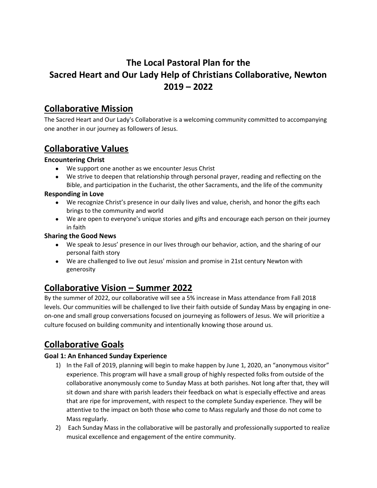# **The Local Pastoral Plan for the Sacred Heart and Our Lady Help of Christians Collaborative, Newton 2019 – 2022**

## **Collaborative Mission**

The Sacred Heart and Our Lady's Collaborative is a welcoming community committed to accompanying one another in our journey as followers of Jesus.

## **Collaborative Values**

### **Encountering Christ**

- We support one another as we encounter Jesus Christ
- We strive to deepen that relationship through personal prayer, reading and reflecting on the Bible, and participation in the Eucharist, the other Sacraments, and the life of the community

#### **Responding in Love**

- We recognize Christ's presence in our daily lives and value, cherish, and honor the gifts each brings to the community and world
- We are open to everyone's unique stories and gifts and encourage each person on their journey in faith

### **Sharing the Good News**

- We speak to Jesus' presence in our lives through our behavior, action, and the sharing of our personal faith story
- We are challenged to live out Jesus' mission and promise in 21st century Newton with generosity

## **Collaborative Vision – Summer 2022**

By the summer of 2022, our collaborative will see a 5% increase in Mass attendance from Fall 2018 levels. Our communities will be challenged to live their faith outside of Sunday Mass by engaging in oneon-one and small group conversations focused on journeying as followers of Jesus. We will prioritize a culture focused on building community and intentionally knowing those around us.

# **Collaborative Goals**

### **Goal 1: An Enhanced Sunday Experience**

- 1) In the Fall of 2019, planning will begin to make happen by June 1, 2020, an "anonymous visitor" experience. This program will have a small group of highly respected folks from outside of the collaborative anonymously come to Sunday Mass at both parishes. Not long after that, they will sit down and share with parish leaders their feedback on what is especially effective and areas that are ripe for improvement, with respect to the complete Sunday experience. They will be attentive to the impact on both those who come to Mass regularly and those do not come to Mass regularly.
- 2) Each Sunday Mass in the collaborative will be pastorally and professionally supported to realize musical excellence and engagement of the entire community.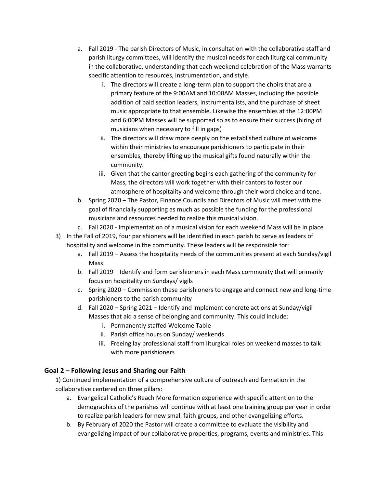- a. Fall 2019 The parish Directors of Music, in consultation with the collaborative staff and parish liturgy committees, will identify the musical needs for each liturgical community in the collaborative, understanding that each weekend celebration of the Mass warrants specific attention to resources, instrumentation, and style.
	- i. The directors will create a long-term plan to support the choirs that are a primary feature of the 9:00AM and 10:00AM Masses, including the possible addition of paid section leaders, instrumentalists, and the purchase of sheet music appropriate to that ensemble. Likewise the ensembles at the 12:00PM and 6:00PM Masses will be supported so as to ensure their success (hiring of musicians when necessary to fill in gaps)
	- ii. The directors will draw more deeply on the established culture of welcome within their ministries to encourage parishioners to participate in their ensembles, thereby lifting up the musical gifts found naturally within the community.
	- iii. Given that the cantor greeting begins each gathering of the community for Mass, the directors will work together with their cantors to foster our atmosphere of hospitality and welcome through their word choice and tone.
- b. Spring 2020 The Pastor, Finance Councils and Directors of Music will meet with the goal of financially supporting as much as possible the funding for the professional musicians and resources needed to realize this musical vision.
- c. Fall 2020 Implementation of a musical vision for each weekend Mass will be in place
- 3) In the Fall of 2019, four parishioners will be identified in each parish to serve as leaders of hospitality and welcome in the community. These leaders will be responsible for:
	- a. Fall 2019 Assess the hospitality needs of the communities present at each Sunday/vigil Mass
	- b. Fall 2019 Identify and form parishioners in each Mass community that will primarily focus on hospitality on Sundays/ vigils
	- c. Spring 2020 Commission these parishioners to engage and connect new and long-time parishioners to the parish community
	- d. Fall 2020 Spring 2021 Identify and implement concrete actions at Sunday/vigil Masses that aid a sense of belonging and community. This could include:
		- i. Permanently staffed Welcome Table
		- ii. Parish office hours on Sunday/ weekends
		- iii. Freeing lay professional staff from liturgical roles on weekend masses to talk with more parishioners

### **Goal 2 – Following Jesus and Sharing our Faith**

1) Continued implementation of a comprehensive culture of outreach and formation in the collaborative centered on three pillars:

- a. Evangelical Catholic's Reach More formation experience with specific attention to the demographics of the parishes will continue with at least one training group per year in order to realize parish leaders for new small faith groups, and other evangelizing efforts.
- b. By February of 2020 the Pastor will create a committee to evaluate the visibility and evangelizing impact of our collaborative properties, programs, events and ministries. This